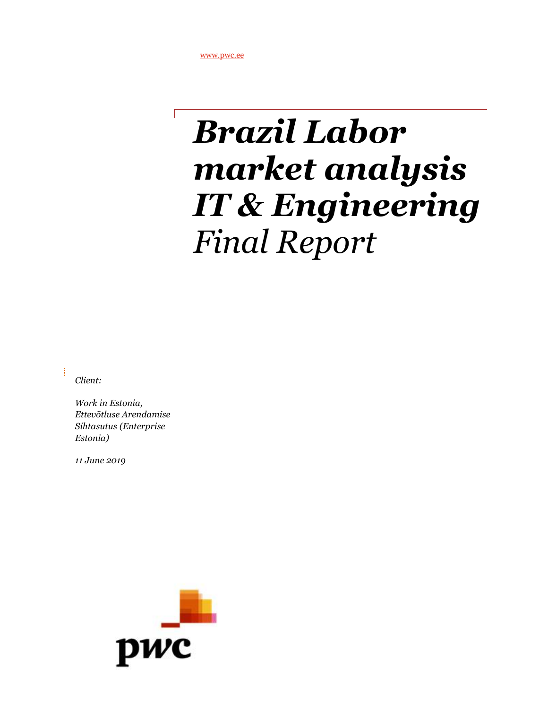# *Brazil Labor market analysis IT & Engineering Final Report*

*Client:* 

*Work in Estonia, Ettevõtluse Arendamise Sihtasutus (Enterprise Estonia)*

*11 June 2019*

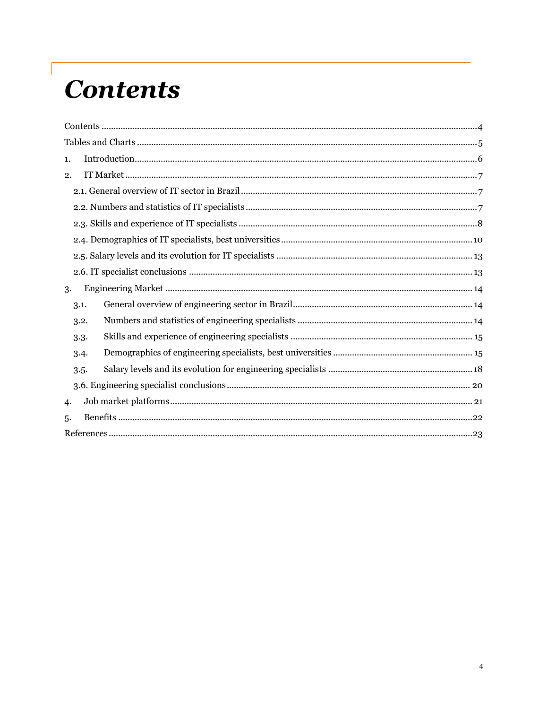# **Contents**

| 1.   |  |
|------|--|
| 2.   |  |
|      |  |
|      |  |
|      |  |
|      |  |
|      |  |
|      |  |
| 3.   |  |
| 3.1. |  |
| 3.2. |  |
| 3.3. |  |
| 3.4. |  |
| 3.5. |  |
|      |  |
| 4.   |  |
| 5.   |  |
|      |  |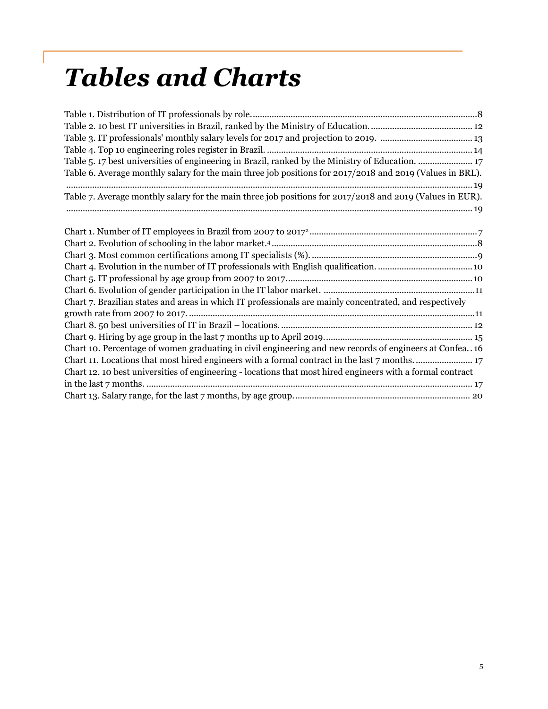## *Tables and Charts*

| Table 6. Average monthly salary for the main three job positions for 2017/2018 and 2019 (Values in BRL).   |
|------------------------------------------------------------------------------------------------------------|
|                                                                                                            |
| Table 7. Average monthly salary for the main three job positions for 2017/2018 and 2019 (Values in EUR).   |
|                                                                                                            |
|                                                                                                            |
|                                                                                                            |
|                                                                                                            |
|                                                                                                            |
|                                                                                                            |
|                                                                                                            |
|                                                                                                            |
| Chart 7. Brazilian states and areas in which IT professionals are mainly concentrated, and respectively    |
|                                                                                                            |
|                                                                                                            |
|                                                                                                            |
| Chart 10. Percentage of women graduating in civil engineering and new records of engineers at Confea 16    |
|                                                                                                            |
| Chart 12. 10 best universities of engineering - locations that most hired engineers with a formal contract |
|                                                                                                            |
|                                                                                                            |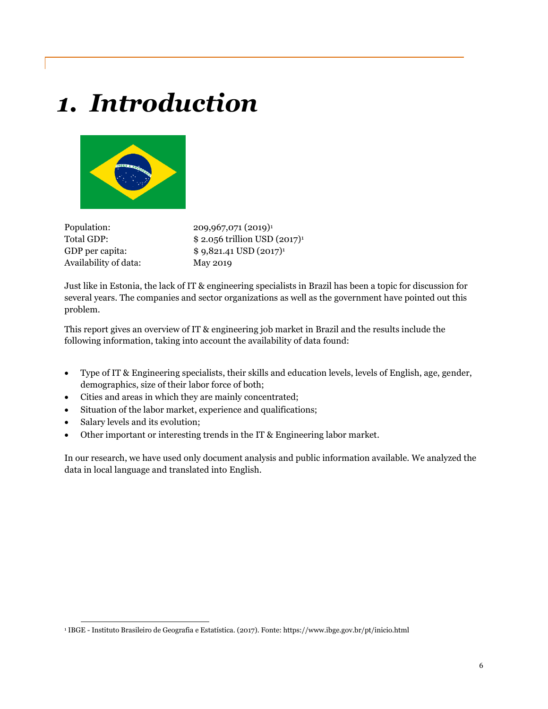## *1. Introduction*



Availability of data: May 2019

Population: 209,967,071 (2019)<sup>1</sup> Total GDP:  $$ 2.056$  trillion USD (2017)<sup>1</sup> GDP per capita:  $$ 9,821.41$  USD  $(2017)^1$ 

Just like in Estonia, the lack of IT & engineering specialists in Brazil has been a topic for discussion for several years. The companies and sector organizations as well as the government have pointed out this problem.

This report gives an overview of IT & engineering job market in Brazil and the results include the following information, taking into account the availability of data found:

- Type of IT & Engineering specialists, their skills and education levels, levels of English, age, gender, demographics, size of their labor force of both;
- Cities and areas in which they are mainly concentrated;
- Situation of the labor market, experience and qualifications;
- Salary levels and its evolution;
- Other important or interesting trends in the IT & Engineering labor market.

In our research, we have used only document analysis and public information available. We analyzed the data in local language and translated into English.

 <sup>1</sup> IBGE - Instituto Brasileiro de Geografia e Estatística. (2017). Fonte: https://www.ibge.gov.br/pt/inicio.html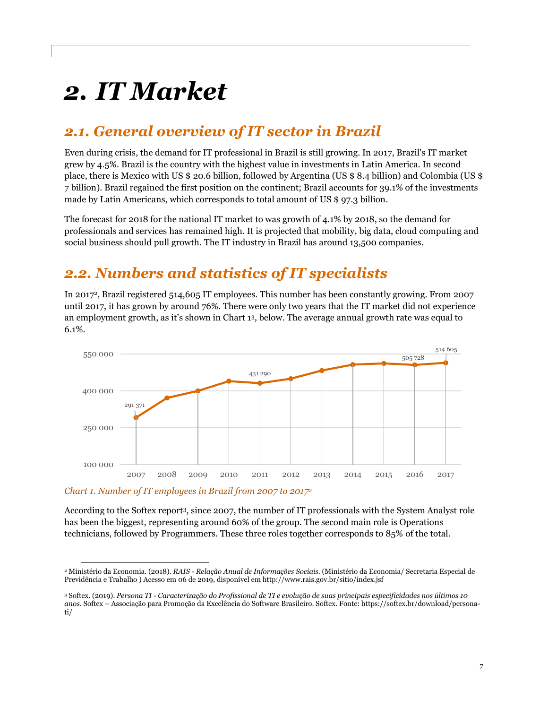## *2. IT Market*

#### *2.1. General overview of IT sector in Brazil*

Even during crisis, the demand for IT professional in Brazil is still growing. In 2017, Brazil's IT market grew by 4.5%. Brazil is the country with the highest value in investments in Latin America. In second place, there is Mexico with US \$ 20.6 billion, followed by Argentina (US \$ 8.4 billion) and Colombia (US \$ 7 billion). Brazil regained the first position on the continent; Brazil accounts for 39.1% of the investments made by Latin Americans, which corresponds to total amount of US \$ 97.3 billion.

The forecast for 2018 for the national IT market to was growth of 4.1% by 2018, so the demand for professionals and services has remained high. It is projected that mobility, big data, cloud computing and social business should pull growth. The IT industry in Brazil has around 13,500 companies.

#### *2.2. Numbers and statistics of IT specialists*

In 20172, Brazil registered 514,605 IT employees. This number has been constantly growing. From 2007 until 2017, it has grown by around 76%. There were only two years that the IT market did not experience an employment growth, as it's shown in Chart 13, below. The average annual growth rate was equal to 6.1%.



*Chart 1. Number of IT employees in Brazil from 2007 to 20172*

According to the Softex report3, since 2007, the number of IT professionals with the System Analyst role has been the biggest, representing around 60% of the group. The second main role is Operations technicians, followed by Programmers. These three roles together corresponds to 85% of the total.

 <sup>2</sup> Ministério da Economia. (2018). *RAIS - Relação Anual de Informações Sociais*. (Ministério da Economia/ Secretaria Especial de Previdência e Trabalho ) Acesso em 06 de 2019, disponível em http://www.rais.gov.br/sitio/index.jsf

<sup>3</sup> Softex. (2019). *Persona TI - Caracterização do Profissional de TI e evolução de suas principais especificidades nos últimos 10 anos.* Softex – Associação para Promoção da Excelência do Software Brasileiro. Softex. Fonte: https://softex.br/download/personati/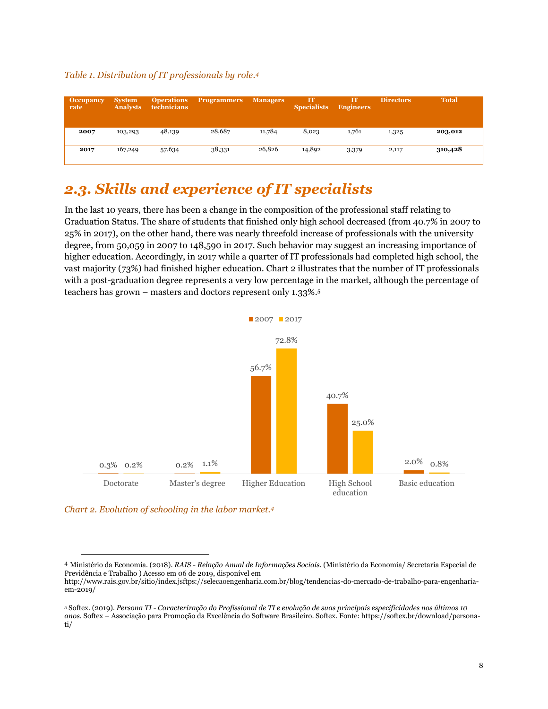*Table 1. Distribution of IT professionals by role.4*

| <b>Occupancy</b><br>rate | <b>System</b><br><b>Analysts</b> | <b>Operations</b><br>technicians | <b>Programmers</b> | <b>Managers</b> | IT<br><b>Specialists</b> | Æľ<br><b>Engineers</b> | <b>Directors</b> | <b>Total</b> |
|--------------------------|----------------------------------|----------------------------------|--------------------|-----------------|--------------------------|------------------------|------------------|--------------|
| 2007                     | 103,293                          | 48,139                           | 28,687             | 11,784          | 8,023                    | 1,761                  | 1,325            | 203,012      |
| 2017                     | 167,249                          | 57,634                           | 38,331             | 26,826          | 14,892                   | 3,379                  | 2,117            | 310,428      |

### *2.3. Skills and experience of IT specialists*

In the last 10 years, there has been a change in the composition of the professional staff relating to Graduation Status. The share of students that finished only high school decreased (from 40.7% in 2007 to 25% in 2017), on the other hand, there was nearly threefold increase of professionals with the university degree, from 50,059 in 2007 to 148,590 in 2017. Such behavior may suggest an increasing importance of higher education. Accordingly, in 2017 while a quarter of IT professionals had completed high school, the vast majority (73%) had finished higher education. Chart 2 illustrates that the number of IT professionals with a post-graduation degree represents a very low percentage in the market, although the percentage of teachers has grown – masters and doctors represent only 1.33%.5



*Chart 2. Evolution of schooling in the labor market.4*

 <sup>4</sup> Ministério da Economia. (2018). *RAIS - Relação Anual de Informações Sociais*. (Ministério da Economia/ Secretaria Especial de Previdência e Trabalho ) Acesso em 06 de 2019, disponível em

http://www.rais.gov.br/sitio/index.jsftps://selecaoengenharia.com.br/blog/tendencias-do-mercado-de-trabalho-para-engenhariaem-2019/

<sup>5</sup> Softex. (2019). *Persona TI - Caracterização do Profissional de TI e evolução de suas principais especificidades nos últimos 10 anos.* Softex – Associação para Promoção da Excelência do Software Brasileiro. Softex. Fonte: https://softex.br/download/personati/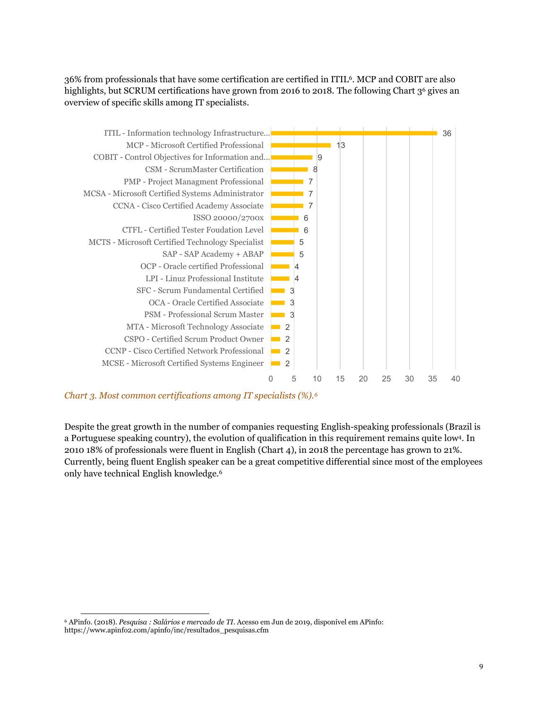36% from professionals that have some certification are certified in ITIL6. MCP and COBIT are also highlights, but SCRUM certifications have grown from 2016 to 2018. The following Chart  $3^6$  gives an overview of specific skills among IT specialists.



*Chart 3. Most common certifications among IT specialists (%).6*

Despite the great growth in the number of companies requesting English-speaking professionals (Brazil is a Portuguese speaking country), the evolution of qualification in this requirement remains quite low4. In 2010 18% of professionals were fluent in English (Chart 4), in 2018 the percentage has grown to 21%. Currently, being fluent English speaker can be a great competitive differential since most of the employees only have technical English knowledge.6

 <sup>6</sup> APinfo. (2018). *Pesquisa : Salários e mercado de TI*. Acesso em Jun de 2019, disponível em APinfo: https://www.apinfo2.com/apinfo/inc/resultados\_pesquisas.cfm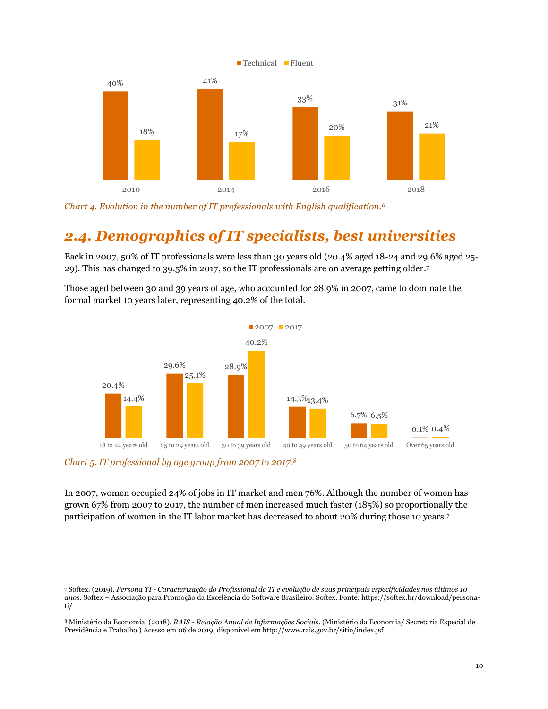

*Chart 4. Evolution in the number of IT professionals with English qualification.6*

#### *2.4. Demographics of IT specialists, best universities*

Back in 2007, 50% of IT professionals were less than 30 years old (20.4% aged 18-24 and 29.6% aged 25- 29). This has changed to 39.5% in 2017, so the IT professionals are on average getting older.7

Those aged between 30 and 39 years of age, who accounted for 28.9% in 2007, came to dominate the formal market 10 years later, representing 40.2% of the total.



*Chart 5. IT professional by age group from 2007 to 2017.8*

In 2007, women occupied 24% of jobs in IT market and men 76%. Although the number of women has grown 67% from 2007 to 2017, the number of men increased much faster (185%) so proportionally the participation of women in the IT labor market has decreased to about 20% during those 10 years.7

 <sup>7</sup> Softex. (2019). *Persona TI - Caracterização do Profissional de TI e evolução de suas principais especificidades nos últimos 10 anos.* Softex – Associação para Promoção da Excelência do Software Brasileiro. Softex. Fonte: https://softex.br/download/personati/

<sup>8</sup> Ministério da Economia. (2018). *RAIS - Relação Anual de Informações Sociais*. (Ministério da Economia/ Secretaria Especial de Previdência e Trabalho ) Acesso em 06 de 2019, disponível em http://www.rais.gov.br/sitio/index.jsf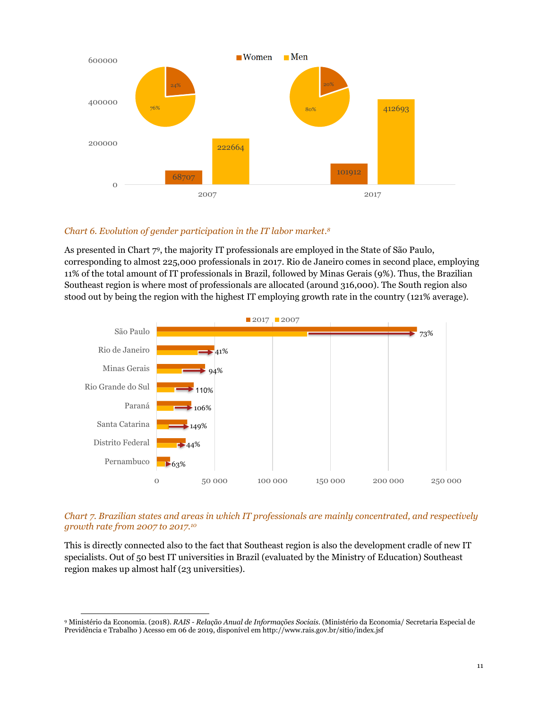

#### *Chart 6. Evolution of gender participation in the IT labor market.8*

As presented in Chart 79, the majority IT professionals are employed in the State of São Paulo, corresponding to almost 225,000 professionals in 2017. Rio de Janeiro comes in second place, employing 11% of the total amount of IT professionals in Brazil, followed by Minas Gerais (9%). Thus, the Brazilian Southeast region is where most of professionals are allocated (around 316,000). The South region also stood out by being the region with the highest IT employing growth rate in the country (121% average).



#### *Chart 7. Brazilian states and areas in which IT professionals are mainly concentrated, and respectively growth rate from 2007 to 2017.10*

This is directly connected also to the fact that Southeast region is also the development cradle of new IT specialists. Out of 50 best IT universities in Brazil (evaluated by the Ministry of Education) Southeast region makes up almost half (23 universities).

 <sup>9</sup> Ministério da Economia. (2018). *RAIS - Relação Anual de Informações Sociais*. (Ministério da Economia/ Secretaria Especial de Previdência e Trabalho ) Acesso em 06 de 2019, disponível em http://www.rais.gov.br/sitio/index.jsf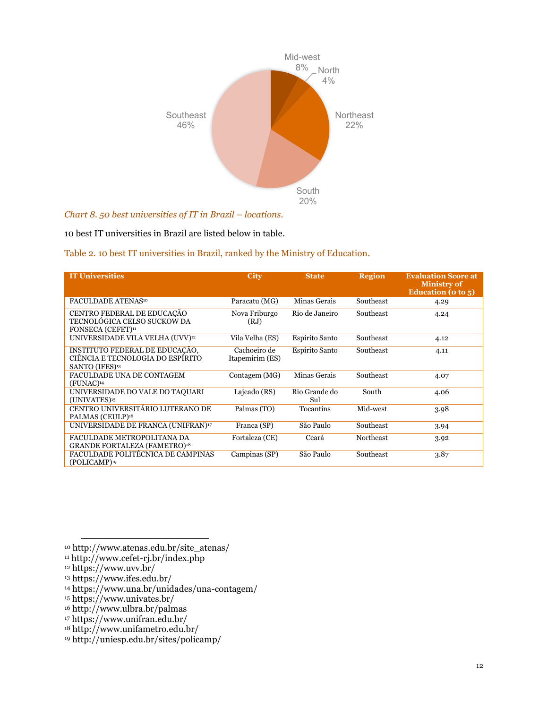

*Chart 8. 50 best universities of IT in Brazil – locations.*

10 best IT universities in Brazil are listed below in table.

Table 2. 10 best IT universities in Brazil, ranked by the Ministry of Education.

| <b>IT Universities</b>                                                                           | <b>City</b>                     | <b>State</b>         | <b>Region</b> | <b>Evaluation Score at</b><br><b>Ministry of</b><br><b>Education</b> (o to 5) |
|--------------------------------------------------------------------------------------------------|---------------------------------|----------------------|---------------|-------------------------------------------------------------------------------|
| FACULDADE ATENAS10                                                                               | Paracatu (MG)                   | Minas Gerais         | Southeast     | 4.29                                                                          |
| CENTRO FEDERAL DE EDUCAÇÃO<br>TECNOLÓGICA CELSO SUCKOW DA<br>FONSECA (CEFET) <sup>11</sup>       | Nova Friburgo<br>(RJ)           | Rio de Janeiro       | Southeast     | 4.24                                                                          |
| UNIVERSIDADE VILA VELHA (UVV) <sup>12</sup>                                                      | Vila Velha (ES)                 | Espírito Santo       | Southeast     | 4.12                                                                          |
| INSTITUTO FEDERAL DE EDUCAÇÃO,<br>CIÊNCIA E TECNOLOGIA DO ESPÍRITO<br>SANTO (IFES) <sup>13</sup> | Cachoeiro de<br>Itapemirim (ES) | Espírito Santo       | Southeast     | 4.11                                                                          |
| <b>FACULDADE UNA DE CONTAGEM</b><br>(FUNAC) <sup>14</sup>                                        | Contagem (MG)                   | Minas Gerais         | Southeast     | 4.07                                                                          |
| UNIVERSIDADE DO VALE DO TAQUARI<br>(UNIVATES) <sup>15</sup>                                      | Lajeado (RS)                    | Rio Grande do<br>Sul | South         | 4.06                                                                          |
| CENTRO UNIVERSITÁRIO LUTERANO DE<br>PALMAS (CEULP) <sup>16</sup>                                 | Palmas (TO)                     | Tocantins            | Mid-west      | 3.98                                                                          |
| UNIVERSIDADE DE FRANCA (UNIFRAN) <sup>17</sup>                                                   | Franca (SP)                     | São Paulo            | Southeast     | 3.94                                                                          |
| FACULDADE METROPOLITANA DA<br><b>GRANDE FORTALEZA (FAMETRO)18</b>                                | Fortaleza (CE)                  | Ceará                | Northeast     | 3.92                                                                          |
| FACULDADE POLITÉCNICA DE CAMPINAS<br>(POLICAMP) <sup>19</sup>                                    | Campinas (SP)                   | São Paulo            | Southeast     | 3.87                                                                          |

 <sup>10</sup> http://www.atenas.edu.br/site\_atenas/

<sup>11</sup> http://www.cefet-rj.br/index.php

<sup>12</sup> https://www.uvv.br/

<sup>13</sup> https://www.ifes.edu.br/

<sup>14</sup> https://www.una.br/unidades/una-contagem/

<sup>15</sup> https://www.univates.br/

<sup>16</sup> http://www.ulbra.br/palmas

<sup>17</sup> https://www.unifran.edu.br/

<sup>18</sup> http://www.unifametro.edu.br/

<sup>19</sup> http://uniesp.edu.br/sites/policamp/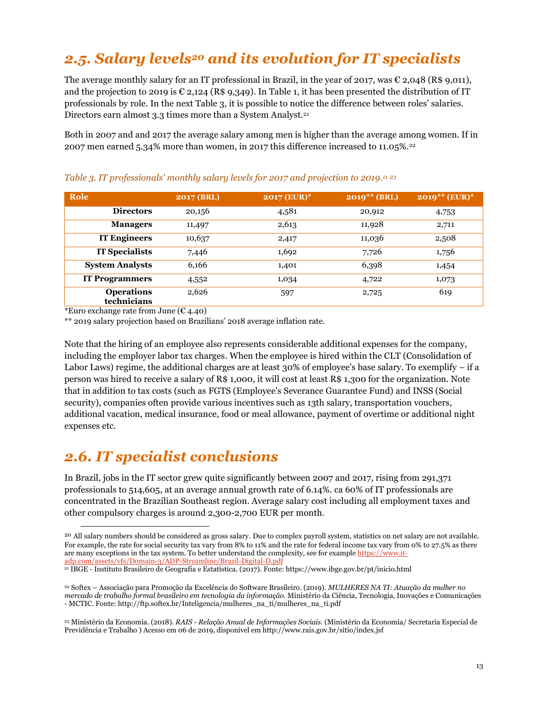### *2.5. Salary levels20 and its evolution for IT specialists*

The average monthly salary for an IT professional in Brazil, in the year of 2017, was  $\mathcal{E}$  2,048 (R\$ 9,011), and the projection to 2019 is  $\epsilon$  2,124 (R\$ 9,349). In Table 1, it has been presented the distribution of IT professionals by role. In the next Table 3, it is possible to notice the difference between roles' salaries. Directors earn almost 3.3 times more than a System Analyst.<sup>21</sup>

Both in 2007 and and 2017 the average salary among men is higher than the average among women. If in 2007 men earned 5.34% more than women, in 2017 this difference increased to 11.05%.22

| Role                             | <b>2017 (BRL)</b> | 2017 (EUR)* | $2019**$ (BRL) | $2019**$ (EUR)* |
|----------------------------------|-------------------|-------------|----------------|-----------------|
| <b>Directors</b>                 | 20,156            | 4,581       | 20,912         | 4,753           |
| <b>Managers</b>                  | 11,497            | 2,613       | 11,928         | 2,711           |
| <b>IT Engineers</b>              | 10,637            | 2,417       | 11,036         | 2,508           |
| <b>IT Specialists</b>            | 7,446             | 1,692       | 7,726          | 1,756           |
| <b>System Analysts</b>           | 6,166             | 1,401       | 6,398          | 1,454           |
| <b>IT Programmers</b>            | 4,552             | 1,034       | 4,722          | 1,073           |
| <b>Operations</b><br>technicians | 2,626             | 597         | 2,725          | 619             |

#### *Table 3. IT professionals' monthly salary levels for 2017 and projection to 2019.11 <sup>23</sup>*

\*Euro exchange rate from June ( $\epsilon$  4.40)

\*\* 2019 salary projection based on Brazilians' 2018 average inflation rate.

Note that the hiring of an employee also represents considerable additional expenses for the company, including the employer labor tax charges. When the employee is hired within the CLT (Consolidation of Labor Laws) regime, the additional charges are at least 30% of employee's base salary. To exemplify – if a person was hired to receive a salary of R\$ 1,000, it will cost at least R\$ 1,300 for the organization. Note that in addition to tax costs (such as FGTS (Employee's Severance Guarantee Fund) and INSS (Social security), companies often provide various incentives such as 13th salary, transportation vouchers, additional vacation, medical insurance, food or meal allowance, payment of overtime or additional night expenses etc.

#### *2.6. IT specialist conclusions*

In Brazil, jobs in the IT sector grew quite significantly between 2007 and 2017, rising from 291,371 professionals to 514,605, at an average annual growth rate of 6.14%. ca 60% of IT professionals are concentrated in the Brazilian Southeast region. Average salary cost including all employment taxes and other compulsory charges is around 2,300-2,700 EUR per month.

<sup>&</sup>lt;sup>20</sup> All salary numbers should be considered as gross salary. Due to complex payroll system, statistics on net salary are not available. For example, the rate for social security tax vary from 8% to 11% and the rate for federal income tax vary from 0% to 27.5% as there are many exceptions in the tax system. To better understand the complexity, see for example https://www.itadp.com/assets/vfs/Domain-3/ADP-Streamline/Brazil-Digital-D.pdf

<sup>21</sup> IBGE - Instituto Brasileiro de Geografia e Estatística. (2017). Fonte: https://www.ibge.gov.br/pt/inicio.html

<sup>22</sup> Softex – Associação para Promoção da Excelência do Software Brasileiro. (2019). *MULHERES NA TI: Atuação da mulher no mercado de trabalho formal brasileiro em tecnologia da informação.* Ministério da Ciência, Tecnologia, Inovações e Comunicações - MCTIC. Fonte: http://ftp.softex.br/Inteligencia/mulheres\_na\_ti/mulheres\_na\_ti.pdf

<sup>23</sup> Ministério da Economia. (2018). *RAIS - Relação Anual de Informações Sociais*. (Ministério da Economia/ Secretaria Especial de Previdência e Trabalho ) Acesso em 06 de 2019, disponível em http://www.rais.gov.br/sitio/index.jsf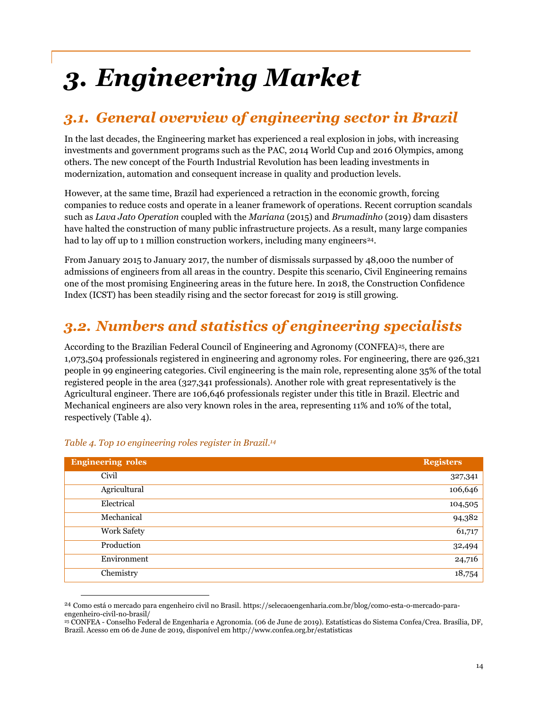# *3. Engineering Market*

### *3.1. General overview of engineering sector in Brazil*

In the last decades, the Engineering market has experienced a real explosion in jobs, with increasing investments and government programs such as the PAC, 2014 World Cup and 2016 Olympics, among others. The new concept of the Fourth Industrial Revolution has been leading investments in modernization, automation and consequent increase in quality and production levels.

However, at the same time, Brazil had experienced a retraction in the economic growth, forcing companies to reduce costs and operate in a leaner framework of operations. Recent corruption scandals such as *Lava Jato Operation* coupled with the *Mariana* (2015) and *Brumadinho* (2019) dam disasters have halted the construction of many public infrastructure projects. As a result, many large companies had to lay off up to 1 million construction workers, including many engineers<sup>24</sup>.

From January 2015 to January 2017, the number of dismissals surpassed by 48,000 the number of admissions of engineers from all areas in the country. Despite this scenario, Civil Engineering remains one of the most promising Engineering areas in the future here. In 2018, the Construction Confidence Index (ICST) has been steadily rising and the sector forecast for 2019 is still growing.

### *3.2. Numbers and statistics of engineering specialists*

According to the Brazilian Federal Council of Engineering and Agronomy (CONFEA)<sup>25</sup>, there are 1,073,504 professionals registered in engineering and agronomy roles. For engineering, there are 926,321 people in 99 engineering categories. Civil engineering is the main role, representing alone 35% of the total registered people in the area (327,341 professionals). Another role with great representatively is the Agricultural engineer. There are 106,646 professionals register under this title in Brazil. Electric and Mechanical engineers are also very known roles in the area, representing 11% and 10% of the total, respectively (Table 4).

| <b>Engineering roles</b> | <b>Registers</b> |
|--------------------------|------------------|
| Civil                    | 327,341          |
| Agricultural             | 106,646          |
| Electrical               | 104,505          |
| Mechanical               | 94,382           |
| <b>Work Safety</b>       | 61,717           |
| Production               | 32,494           |
| Environment              | 24,716           |
| Chemistry                | 18,754           |

#### *Table 4. Top 10 engineering roles register in Brazil.14*

 <sup>24</sup> Como está o mercado para engenheiro civil no Brasil. https://selecaoengenharia.com.br/blog/como-esta-o-mercado-paraengenheiro-civil-no-brasil/

<sup>25</sup> CONFEA - Conselho Federal de Engenharia e Agronomia. (06 de June de 2019). Estatísticas do Sistema Confea/Crea. Brasília, DF, Brazil. Acesso em 06 de June de 2019, disponível em http://www.confea.org.br/estatisticas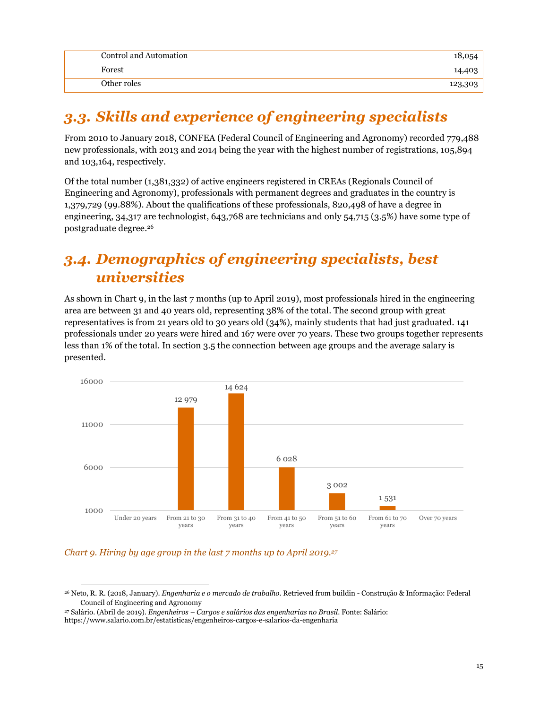| Control and Automation | 18,054  |
|------------------------|---------|
| Forest                 | 14,403  |
| Other roles            | 123,303 |

#### *3.3. Skills and experience of engineering specialists*

From 2010 to January 2018, CONFEA (Federal Council of Engineering and Agronomy) recorded 779,488 new professionals, with 2013 and 2014 being the year with the highest number of registrations, 105,894 and 103,164, respectively.

Of the total number (1,381,332) of active engineers registered in CREAs (Regionals Council of Engineering and Agronomy), professionals with permanent degrees and graduates in the country is 1,379,729 (99.88%). About the qualifications of these professionals, 820,498 of have a degree in engineering, 34,317 are technologist, 643,768 are technicians and only 54,715 (3.5%) have some type of postgraduate degree.26

### *3.4. Demographics of engineering specialists, best universities*

As shown in Chart 9, in the last 7 months (up to April 2019), most professionals hired in the engineering area are between 31 and 40 years old, representing 38% of the total. The second group with great representatives is from 21 years old to 30 years old (34%), mainly students that had just graduated. 141 professionals under 20 years were hired and 167 were over 70 years. These two groups together represents less than 1% of the total. In section 3.5 the connection between age groups and the average salary is presented.



#### *Chart 9. Hiring by age group in the last 7 months up to April 2019.27*

https://www.salario.com.br/estatisticas/engenheiros-cargos-e-salarios-da-engenharia

 <sup>26</sup> Neto, R. R. (2018, January). *Engenharia e o mercado de trabalho.* Retrieved from buildin - Construção & Informação: Federal Council of Engineering and Agronomy

<sup>27</sup> Salário. (Abril de 2019). *Engenheiros – Cargos e salários das engenharias no Brasil*. Fonte: Salário: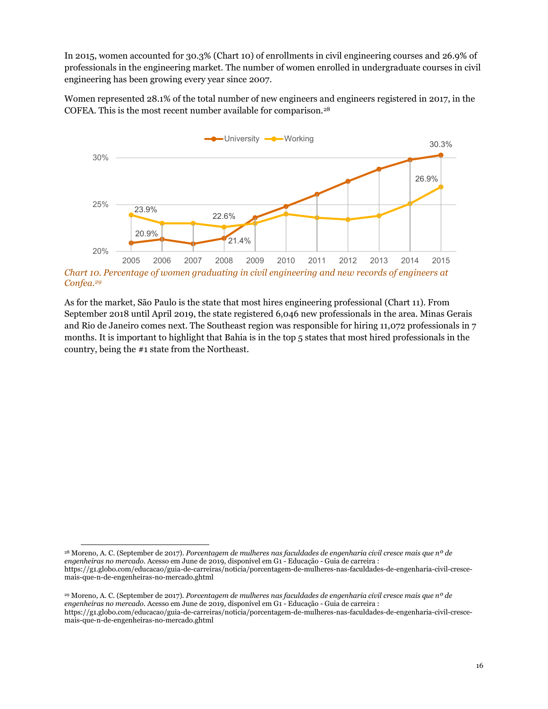In 2015, women accounted for 30.3% (Chart 10) of enrollments in civil engineering courses and 26.9% of professionals in the engineering market. The number of women enrolled in undergraduate courses in civil engineering has been growing every year since 2007.

Women represented 28.1% of the total number of new engineers and engineers registered in 2017, in the COFEA. This is the most recent number available for comparison.28



*Confea.29*

As for the market, São Paulo is the state that most hires engineering professional (Chart 11). From September 2018 until April 2019, the state registered 6,046 new professionals in the area. Minas Gerais and Rio de Janeiro comes next. The Southeast region was responsible for hiring 11,072 professionals in 7 months. It is important to highlight that Bahia is in the top 5 states that most hired professionals in the country, being the #1 state from the Northeast.

 <sup>28</sup> Moreno, A. C. (September de 2017). *Porcentagem de mulheres nas faculdades de engenharia civil cresce mais que nº de engenheiras no mercado.* Acesso em June de 2019, disponível em G1 - Educação - Guia de carreira : https://g1.globo.com/educacao/guia-de-carreiras/noticia/porcentagem-de-mulheres-nas-faculdades-de-engenharia-civil-crescemais-que-n-de-engenheiras-no-mercado.ghtml

<sup>29</sup> Moreno, A. C. (September de 2017). *Porcentagem de mulheres nas faculdades de engenharia civil cresce mais que nº de engenheiras no mercado.* Acesso em June de 2019, disponível em G1 - Educação - Guia de carreira : https://g1.globo.com/educacao/guia-de-carreiras/noticia/porcentagem-de-mulheres-nas-faculdades-de-engenharia-civil-crescemais-que-n-de-engenheiras-no-mercado.ghtml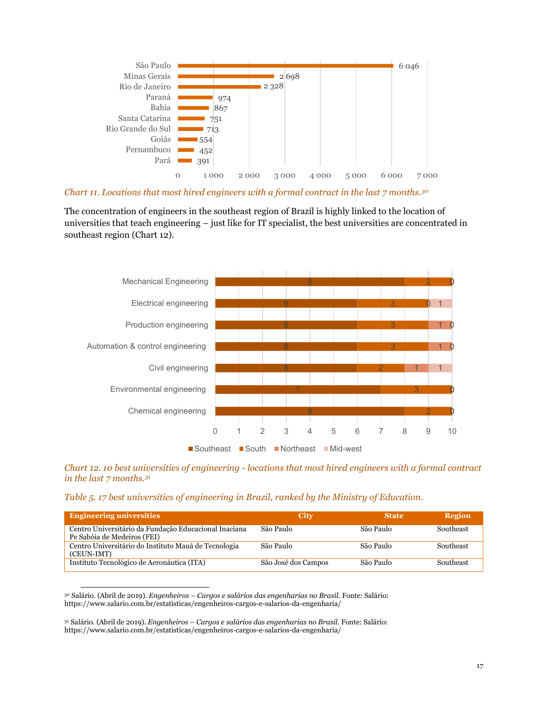

*Chart 11. Locations that most hired engineers with a formal contract in the last 7 months.30*

The concentration of engineers in the southeast region of Brazil is highly linked to the location of universities that teach engineering – just like for IT specialist, the best universities are concentrated in southeast region (Chart 12).



*Chart 12. 10 best universities of engineering - locations that most hired engineers with a formal contract in the last 7 months.31*

*Table 5. 17 best universities of engineering in Brazil, ranked by the Ministry of Education.*

| <b>Engineering universities</b>                                                      | <b>City</b>         | <b>State</b> | <b>Region</b> |
|--------------------------------------------------------------------------------------|---------------------|--------------|---------------|
| Centro Universitário da Fundação Educacional Inaciana<br>Pe Sabóia de Medeiros (FEI) | São Paulo           | São Paulo    | Southeast     |
| Centro Universitário do Instituto Mauá de Tecnologia<br>(CEUN-IMT)                   | São Paulo           | São Paulo    | Southeast     |
| Instituto Tecnológico de Aeronáutica (ITA)                                           | São José dos Campos | São Paulo    | Southeast     |

 30 Salário. (Abril de 2019). *Engenheiros – Cargos e salários das engenharias no Brasil*. Fonte: Salário: https://www.salario.com.br/estatisticas/engenheiros-cargos-e-salarios-da-engenharia/

<sup>31</sup> Salário. (Abril de 2019). *Engenheiros – Cargos e salários das engenharias no Brasil*. Fonte: Salário: https://www.salario.com.br/estatisticas/engenheiros-cargos-e-salarios-da-engenharia/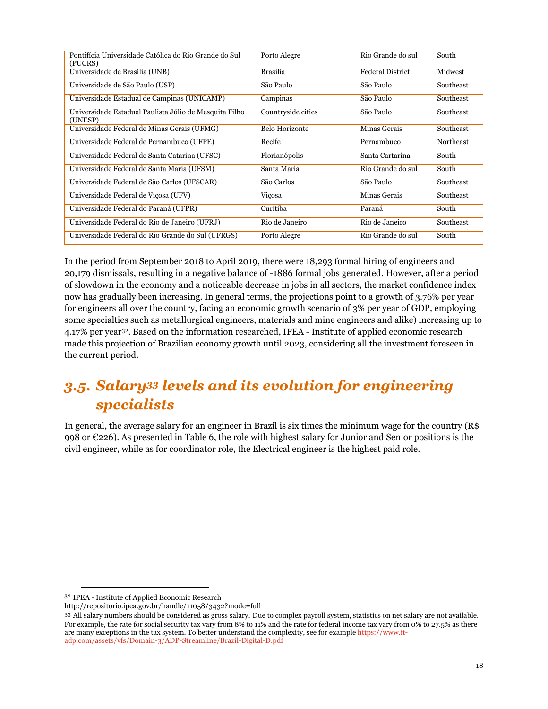| Pontifícia Universidade Católica do Rio Grande do Sul<br>(PUCRS)  | Porto Alegre       | Rio Grande do sul       | South     |
|-------------------------------------------------------------------|--------------------|-------------------------|-----------|
| Universidade de Brasília (UNB)                                    | <b>Brasília</b>    | <b>Federal District</b> | Midwest   |
| Universidade de São Paulo (USP)                                   | São Paulo          | São Paulo               | Southeast |
| Universidade Estadual de Campinas (UNICAMP)                       | Campinas           | São Paulo               | Southeast |
| Universidade Estadual Paulista Júlio de Mesquita Filho<br>(UNESP) | Countryside cities | São Paulo               | Southeast |
| Universidade Federal de Minas Gerais (UFMG)                       | Belo Horizonte     | Minas Gerais            | Southeast |
| Universidade Federal de Pernambuco (UFPE)                         | Recife             | Pernambuco              | Northeast |
| Universidade Federal de Santa Catarina (UFSC)                     | Florianópolis      | Santa Cartarina         | South     |
| Universidade Federal de Santa Maria (UFSM)                        | Santa Maria        | Rio Grande do sul       | South     |
| Universidade Federal de São Carlos (UFSCAR)                       | São Carlos         | São Paulo               | Southeast |
| Universidade Federal de Viçosa (UFV)                              | Viçosa             | Minas Gerais            | Southeast |
| Universidade Federal do Paraná (UFPR)                             | Curitiba           | Paraná                  | South     |
| Universidade Federal do Rio de Janeiro (UFRJ)                     | Rio de Janeiro     | Rio de Janeiro          | Southeast |
| Universidade Federal do Rio Grande do Sul (UFRGS)                 | Porto Alegre       | Rio Grande do sul       | South     |

In the period from September 2018 to April 2019, there were 18,293 formal hiring of engineers and 20,179 dismissals, resulting in a negative balance of -1886 formal jobs generated. However, after a period of slowdown in the economy and a noticeable decrease in jobs in all sectors, the market confidence index now has gradually been increasing. In general terms, the projections point to a growth of 3.76% per year for engineers all over the country, facing an economic growth scenario of 3% per year of GDP, employing some specialties such as metallurgical engineers, materials and mine engineers and alike) increasing up to 4.17% per year32. Based on the information researched, IPEA - Institute of applied economic research made this projection of Brazilian economy growth until 2023, considering all the investment foreseen in the current period.

### *3.5. Salary33 levels and its evolution for engineering specialists*

In general, the average salary for an engineer in Brazil is six times the minimum wage for the country (R\$ 998 or €226). As presented in Table 6, the role with highest salary for Junior and Senior positions is the civil engineer, while as for coordinator role, the Electrical engineer is the highest paid role.

 <sup>32</sup> IPEA - Institute of Applied Economic Research

http://repositorio.ipea.gov.br/handle/11058/3432?mode=full

<sup>33</sup> All salary numbers should be considered as gross salary. Due to complex payroll system, statistics on net salary are not available. For example, the rate for social security tax vary from 8% to 11% and the rate for federal income tax vary from 0% to 27.5% as there are many exceptions in the tax system. To better understand the complexity, see for example https://www.itadp.com/assets/vfs/Domain-3/ADP-Streamline/Brazil-Digital-D.pdf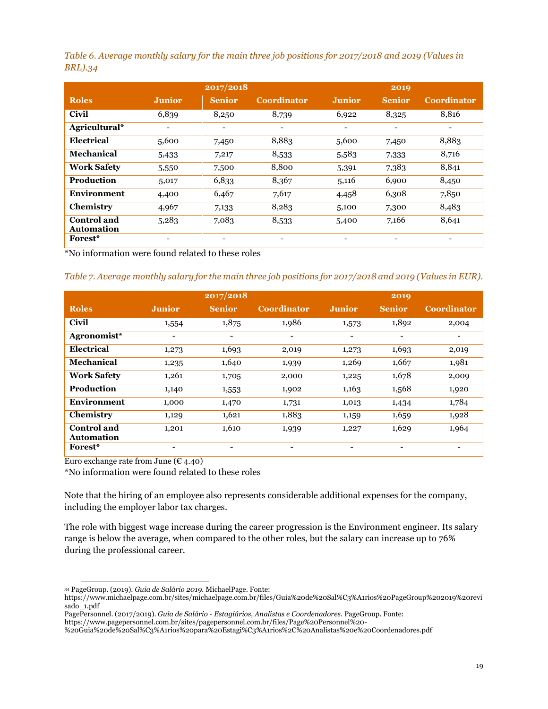*Table 6. Average monthly salary for the main three job positions for 2017/2018 and 2019 (Values in BRL).34*

|                              | 2017/2018                |                          |                          | 2019                     |               |             |
|------------------------------|--------------------------|--------------------------|--------------------------|--------------------------|---------------|-------------|
| <b>Roles</b>                 | <b>Junior</b>            | <b>Senior</b>            | Coordinator              | Junior                   | <b>Senior</b> | Coordinator |
| Civil                        | 6,839                    | 8,250                    | 8,739                    | 6,922                    | 8,325         | 8,816       |
| Agricultural*                | $\overline{\phantom{a}}$ | $\overline{\phantom{a}}$ | $\overline{\phantom{a}}$ | $\overline{\phantom{a}}$ |               |             |
| Electrical                   | 5,600                    | 7,450                    | 8,883                    | 5,600                    | 7,450         | 8,883       |
| <b>Mechanical</b>            | 5,433                    | 7,217                    | 8,533                    | 5,583                    | 7,333         | 8,716       |
| <b>Work Safety</b>           | 5,550                    | 7,500                    | 8,800                    | 5,391                    | 7,383         | 8,841       |
| <b>Production</b>            | 5,017                    | 6,833                    | 8,367                    | 5,116                    | 6,900         | 8,450       |
| <b>Environment</b>           | 4,400                    | 6,467                    | 7,617                    | 4,458                    | 6,308         | 7,850       |
| Chemistry                    | 4,967                    | 7,133                    | 8,283                    | 5,100                    | 7,300         | 8,483       |
| <b>Control</b> and           | 5,283                    | 7,083                    | 8,533                    | 5,400                    | 7,166         | 8,641       |
| <b>Automation</b><br>Forest* |                          |                          |                          |                          |               |             |

\*No information were found related to these roles

#### *Table 7. Average monthly salary for the main three job positions for 2017/2018 and 2019 (Values in EUR).*

|                                  |                          | 2017/2018     |                    |               | 2019                     |                          |
|----------------------------------|--------------------------|---------------|--------------------|---------------|--------------------------|--------------------------|
| <b>Roles</b>                     | <b>Junior</b>            | <b>Senior</b> | <b>Coordinator</b> | <b>Junior</b> | <b>Senior</b>            | <b>Coordinator</b>       |
| <b>Civil</b>                     | 1,554                    | 1,875         | 1,986              | 1,573         | 1,892                    | 2,004                    |
| Agronomist*                      | $\overline{\phantom{0}}$ |               | ۰                  |               | $\overline{\phantom{a}}$ | $\overline{\phantom{a}}$ |
| Electrical                       | 1,273                    | 1,693         | 2,019              | 1,273         | 1,693                    | 2,019                    |
| <b>Mechanical</b>                | 1,235                    | 1,640         | 1,939              | 1,269         | 1,667                    | 1,981                    |
| <b>Work Safety</b>               | 1,261                    | 1,705         | 2,000              | 1,225         | 1,678                    | 2,009                    |
| <b>Production</b>                | 1,140                    | 1,553         | 1,902              | 1,163         | 1,568                    | 1,920                    |
| Environment                      | 1,000                    | 1,470         | 1,731              | 1,013         | 1,434                    | 1,784                    |
| Chemistry                        | 1,129                    | 1,621         | 1,883              | 1,159         | 1,659                    | 1,928                    |
| Control and<br><b>Automation</b> | 1,201                    | 1,610         | 1,939              | 1,227         | 1,629                    | 1,964                    |
| Forest*                          | ۰                        |               |                    |               |                          |                          |

Euro exchange rate from June  $(64.40)$ 

\*No information were found related to these roles

Note that the hiring of an employee also represents considerable additional expenses for the company, including the employer labor tax charges.

The role with biggest wage increase during the career progression is the Environment engineer. Its salary range is below the average, when compared to the other roles, but the salary can increase up to 76% during the professional career.

 <sup>34</sup> PageGroup. (2019). *Guia de Salário 2019.* MichaelPage. Fonte:

https://www.michaelpage.com.br/sites/michaelpage.com.br/files/Guia%20de%20Sal%C3%A1rios%20PageGroup%202019%20revi sado\_1.pdf

PagePersonnel. (2017/2019). *Guia de Salário - Estagiários, Analistas e Coordenadores.* PageGroup. Fonte:

https://www.pagepersonnel.com.br/sites/pagepersonnel.com.br/files/Page%20Personnel%20-

<sup>%20</sup>Guia%20de%20Sal%C3%A1rios%20para%20Estagi%C3%A1rios%2C%20Analistas%20e%20Coordenadores.pdf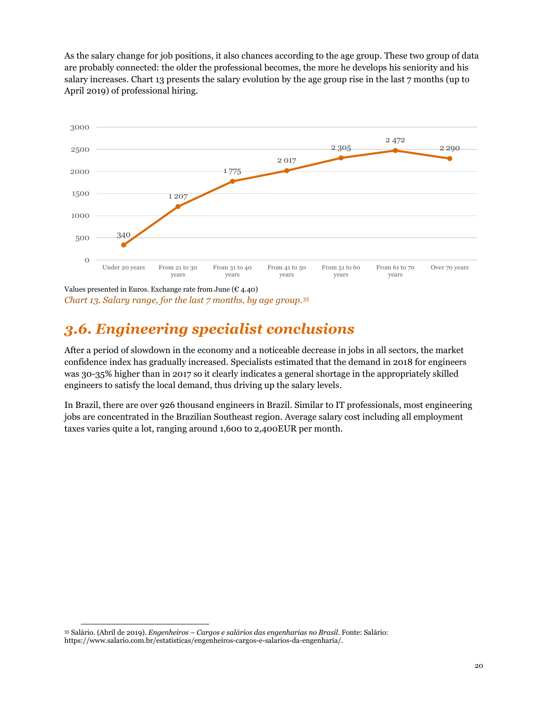As the salary change for job positions, it also chances according to the age group. These two group of data are probably connected: the older the professional becomes, the more he develops his seniority and his salary increases. Chart 13 presents the salary evolution by the age group rise in the last 7 months (up to April 2019) of professional hiring.



Values presented in Euros. Exchange rate from June ( $\mathfrak{C}$  4.40) *Chart 13. Salary range, for the last 7 months, by age group.35*

### *3.6. Engineering specialist conclusions*

After a period of slowdown in the economy and a noticeable decrease in jobs in all sectors, the market confidence index has gradually increased. Specialists estimated that the demand in 2018 for engineers was 30-35% higher than in 2017 so it clearly indicates a general shortage in the appropriately skilled engineers to satisfy the local demand, thus driving up the salary levels.

In Brazil, there are over 926 thousand engineers in Brazil. Similar to IT professionals, most engineering jobs are concentrated in the Brazilian Southeast region. Average salary cost including all employment taxes varies quite a lot, ranging around 1,600 to 2,400EUR per month.

 <sup>35</sup> Salário. (Abril de 2019). *Engenheiros – Cargos e salários das engenharias no Brasil*. Fonte: Salário: https://www.salario.com.br/estatisticas/engenheiros-cargos-e-salarios-da-engenharia/*.*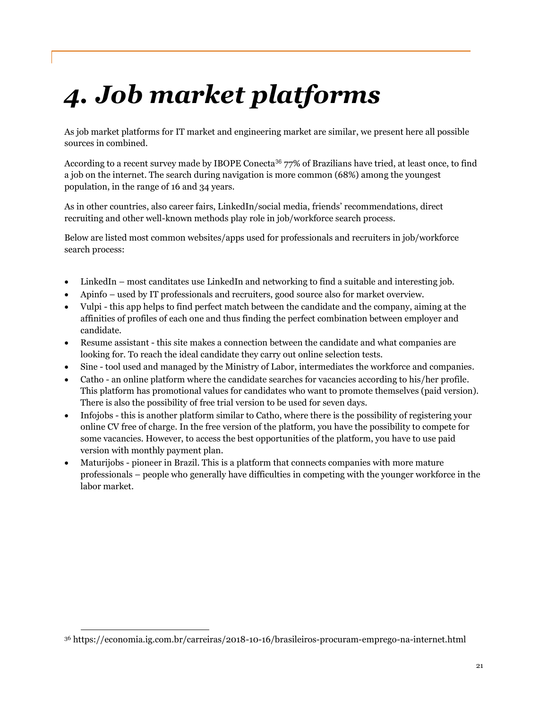# *4. Job market platforms*

As job market platforms for IT market and engineering market are similar, we present here all possible sources in combined.

According to a recent survey made by IBOPE Conecta<sup>36</sup> 77% of Brazilians have tried, at least once, to find a job on the internet. The search during navigation is more common (68%) among the youngest population, in the range of 16 and 34 years.

As in other countries, also career fairs, LinkedIn/social media, friends' recommendations, direct recruiting and other well-known methods play role in job/workforce search process.

Below are listed most common websites/apps used for professionals and recruiters in job/workforce search process:

- LinkedIn most canditates use LinkedIn and networking to find a suitable and interesting job.
- Apinfo used by IT professionals and recruiters, good source also for market overview.
- Vulpi this app helps to find perfect match between the candidate and the company, aiming at the affinities of profiles of each one and thus finding the perfect combination between employer and candidate.
- Resume assistant this site makes a connection between the candidate and what companies are looking for. To reach the ideal candidate they carry out online selection tests.
- Sine tool used and managed by the Ministry of Labor, intermediates the workforce and companies.
- Catho an online platform where the candidate searches for vacancies according to his/her profile. This platform has promotional values for candidates who want to promote themselves (paid version). There is also the possibility of free trial version to be used for seven days.
- Infojobs this is another platform similar to Catho, where there is the possibility of registering your online CV free of charge. In the free version of the platform, you have the possibility to compete for some vacancies. However, to access the best opportunities of the platform, you have to use paid version with monthly payment plan.
- Maturijobs pioneer in Brazil. This is a platform that connects companies with more mature professionals – people who generally have difficulties in competing with the younger workforce in the labor market.

 <sup>36</sup> https://economia.ig.com.br/carreiras/2018-10-16/brasileiros-procuram-emprego-na-internet.html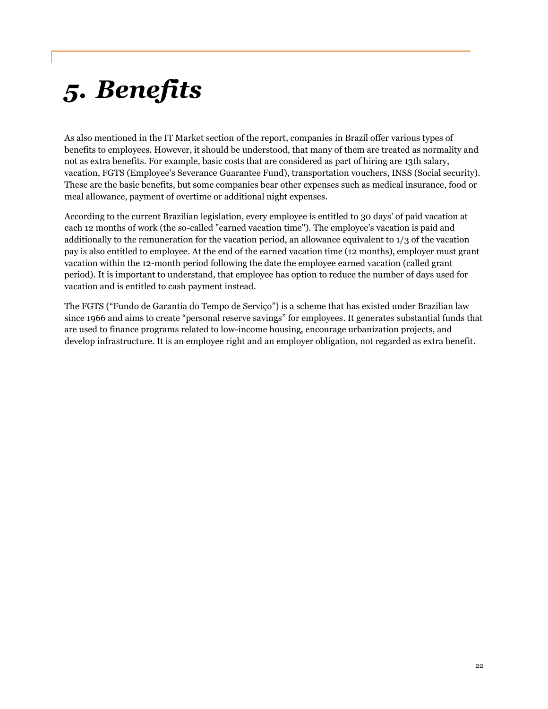## *5. Benefits*

As also mentioned in the IT Market section of the report, companies in Brazil offer various types of benefits to employees. However, it should be understood, that many of them are treated as normality and not as extra benefits. For example, basic costs that are considered as part of hiring are 13th salary, vacation, FGTS (Employee's Severance Guarantee Fund), transportation vouchers, INSS (Social security). These are the basic benefits, but some companies bear other expenses such as medical insurance, food or meal allowance, payment of overtime or additional night expenses.

According to the current Brazilian legislation, every employee is entitled to 30 days' of paid vacation at each 12 months of work (the so-called "earned vacation time"). The employee's vacation is paid and additionally to the remuneration for the vacation period, an allowance equivalent to 1/3 of the vacation pay is also entitled to employee. At the end of the earned vacation time (12 months), employer must grant vacation within the 12-month period following the date the employee earned vacation (called grant period). It is important to understand, that employee has option to reduce the number of days used for vacation and is entitled to cash payment instead.

The FGTS ("Fundo de Garantia do Tempo de Serviço") is a scheme that has existed under Brazilian law since 1966 and aims to create "personal reserve savings" for employees. It generates substantial funds that are used to finance programs related to low-income housing, encourage urbanization projects, and develop infrastructure. It is an employee right and an employer obligation, not regarded as extra benefit.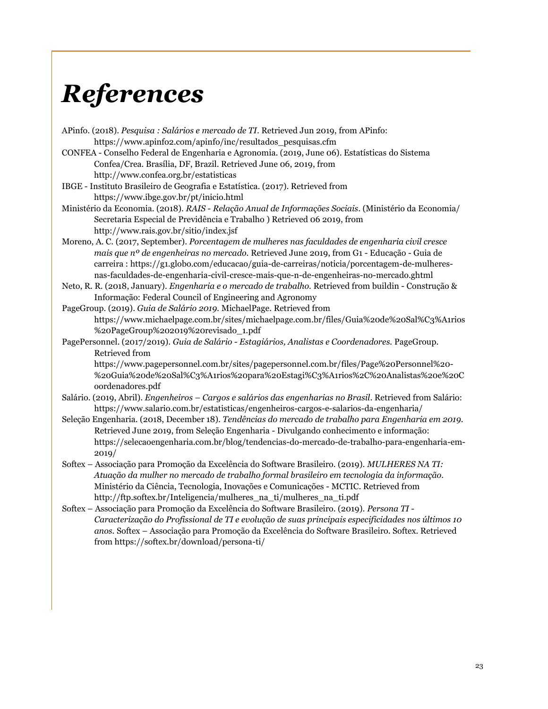## *References*

APinfo. (2018). *Pesquisa : Salários e mercado de TI*. Retrieved Jun 2019, from APinfo: https://www.apinfo2.com/apinfo/inc/resultados\_pesquisas.cfm

- CONFEA Conselho Federal de Engenharia e Agronomia. (2019, June 06). Estatísticas do Sistema Confea/Crea. Brasília, DF, Brazil. Retrieved June 06, 2019, from http://www.confea.org.br/estatisticas
- IBGE Instituto Brasileiro de Geografia e Estatística. (2017). Retrieved from https://www.ibge.gov.br/pt/inicio.html
- Ministério da Economia. (2018). *RAIS - Relação Anual de Informações Sociais*. (Ministério da Economia/ Secretaria Especial de Previdência e Trabalho ) Retrieved 06 2019, from http://www.rais.gov.br/sitio/index.jsf
- Moreno, A. C. (2017, September). *Porcentagem de mulheres nas faculdades de engenharia civil cresce mais que nº de engenheiras no mercado.* Retrieved June 2019, from G1 - Educação - Guia de carreira : https://g1.globo.com/educacao/guia-de-carreiras/noticia/porcentagem-de-mulheresnas-faculdades-de-engenharia-civil-cresce-mais-que-n-de-engenheiras-no-mercado.ghtml
- Neto, R. R. (2018, January). *Engenharia e o mercado de trabalho.* Retrieved from buildin Construção & Informação: Federal Council of Engineering and Agronomy
- PageGroup. (2019). *Guia de Salário 2019.* MichaelPage. Retrieved from https://www.michaelpage.com.br/sites/michaelpage.com.br/files/Guia%20de%20Sal%C3%A1rios %20PageGroup%202019%20revisado\_1.pdf
- PagePersonnel. (2017/2019). *Guia de Salário - Estagiários, Analistas e Coordenadores.* PageGroup. Retrieved from

https://www.pagepersonnel.com.br/sites/pagepersonnel.com.br/files/Page%20Personnel%20- %20Guia%20de%20Sal%C3%A1rios%20para%20Estagi%C3%A1rios%2C%20Analistas%20e%20C oordenadores.pdf

- Salário. (2019, Abril). *Engenheiros – Cargos e salários das engenharias no Brasil*. Retrieved from Salário: https://www.salario.com.br/estatisticas/engenheiros-cargos-e-salarios-da-engenharia/
- Seleção Engenharia. (2018, December 18). *Tendências do mercado de trabalho para Engenharia em 2019.* Retrieved June 2019, from Seleção Engenharia - Divulgando conhecimento e informação: https://selecaoengenharia.com.br/blog/tendencias-do-mercado-de-trabalho-para-engenharia-em-2019/
- Softex Associação para Promoção da Excelência do Software Brasileiro. (2019). *MULHERES NA TI: Atuação da mulher no mercado de trabalho formal brasileiro em tecnologia da informação.* Ministério da Ciência, Tecnologia, Inovações e Comunicações - MCTIC. Retrieved from http://ftp.softex.br/Inteligencia/mulheres\_na\_ti/mulheres\_na\_ti.pdf
- Softex Associação para Promoção da Excelência do Software Brasileiro. (2019). *Persona TI - Caracterização do Profissional de TI e evolução de suas principais especificidades nos últimos 10 anos.* Softex – Associação para Promoção da Excelência do Software Brasileiro. Softex. Retrieved from https://softex.br/download/persona-ti/